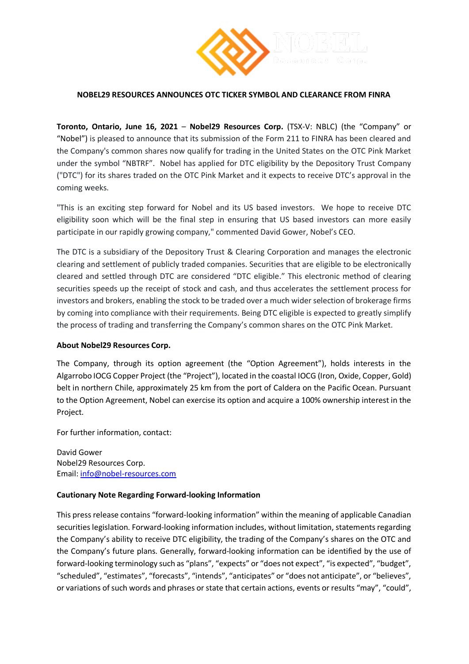

## **NOBEL29 RESOURCES ANNOUNCES OTC TICKER SYMBOL AND CLEARANCE FROM FINRA**

**Toronto, Ontario, June 16, 2021** – **Nobel29 Resources Corp.** (TSX-V: NBLC) (the "Company" or "Nobel") is pleased to announce that its submission of the Form 211 to FINRA has been cleared and the Company's common shares now qualify for trading in the United States on the OTC Pink Market under the symbol "NBTRF". Nobel has applied for DTC eligibility by the Depository Trust Company ("DTC") for its shares traded on the OTC Pink Market and it expects to receive DTC's approval in the coming weeks.

"This is an exciting step forward for Nobel and its US based investors. We hope to receive DTC eligibility soon which will be the final step in ensuring that US based investors can more easily participate in our rapidly growing company," commented David Gower, Nobel's CEO.

The DTC is a subsidiary of the Depository Trust & Clearing Corporation and manages the electronic clearing and settlement of publicly traded companies. Securities that are eligible to be electronically cleared and settled through DTC are considered "DTC eligible." This electronic method of clearing securities speeds up the receipt of stock and cash, and thus accelerates the settlement process for investors and brokers, enabling the stock to be traded over a much wider selection of brokerage firms by coming into compliance with their requirements. Being DTC eligible is expected to greatly simplify the process of trading and transferring the Company's common shares on the OTC Pink Market.

## **About Nobel29 Resources Corp.**

The Company, through its option agreement (the "Option Agreement"), holds interests in the Algarrobo IOCG Copper Project (the "Project"), located in the coastal IOCG (Iron, Oxide, Copper, Gold) belt in northern Chile, approximately 25 km from the port of Caldera on the Pacific Ocean. Pursuant to the Option Agreement, Nobel can exercise its option and acquire a 100% ownership interest in the Project.

For further information, contact:

David Gower Nobel29 Resources Corp. Email: [info@nobel-resources.com](mailto:info@nobel-resources.com)

## **Cautionary Note Regarding Forward-looking Information**

This press release contains "forward-looking information" within the meaning of applicable Canadian securities legislation. Forward-looking information includes, without limitation, statements regarding the Company's ability to receive DTC eligibility, the trading of the Company's shares on the OTC and the Company's future plans. Generally, forward-looking information can be identified by the use of forward-looking terminology such as "plans", "expects" or "does not expect", "is expected", "budget", "scheduled", "estimates", "forecasts", "intends", "anticipates" or "does not anticipate", or "believes", or variations of such words and phrases or state that certain actions, events or results "may", "could",